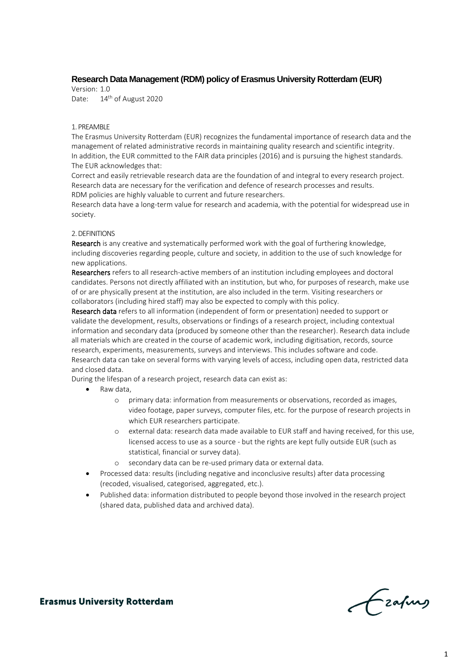# **Research Data Management (RDM) policy of Erasmus University Rotterdam (EUR)**

Version: 1.0 Date: 14<sup>th</sup> of August 2020

#### 1. PREAMBLE

The Erasmus University Rotterdam (EUR) recognizes the fundamental importance of research data and the management of related administrative records in maintaining quality research and scientific integrity. In addition, the EUR committed to the FAIR data principles (2016) and is pursuing the highest standards. The EUR acknowledges that:

Correct and easily retrievable research data are the foundation of and integral to every research project. Research data are necessary for the verification and defence of research processes and results. RDM policies are highly valuable to current and future researchers.

Research data have a long-term value for research and academia, with the potential for widespread use in society.

#### 2. DEFINITIONS

Research is any creative and systematically performed work with the goal of furthering knowledge, including discoveries regarding people, culture and society, in addition to the use of such knowledge for new applications.

Researchers refers to all research-active members of an institution including employees and doctoral candidates. Persons not directly affiliated with an institution, but who, for purposes of research, make use of or are physically present at the institution, are also included in the term. Visiting researchers or collaborators (including hired staff) may also be expected to comply with this policy.

Research data refers to all information (independent of form or presentation) needed to support or validate the development, results, observations or findings of a research project, including contextual information and secondary data (produced by someone other than the researcher). Research data include all materials which are created in the course of academic work, including digitisation, records, source research, experiments, measurements, surveys and interviews. This includes software and code. Research data can take on several forms with varying levels of access, including open data, restricted data and closed data.

During the lifespan of a research project, research data can exist as:

- Raw data.
	- o primary data: information from measurements or observations, recorded as images, video footage, paper surveys, computer files, etc. for the purpose of research projects in which EUR researchers participate.
	- o external data: research data made available to EUR staff and having received, for this use, licensed access to use as a source - but the rights are kept fully outside EUR (such as statistical, financial or survey data).
	- o secondary data can be re-used primary data or external data.
- Processed data: results (including negative and inconclusive results) after data processing (recoded, visualised, categorised, aggregated, etc.).
- Published data: information distributed to people beyond those involved in the research project (shared data, published data and archived data).

Frafing

**Erasmus University Rotterdam**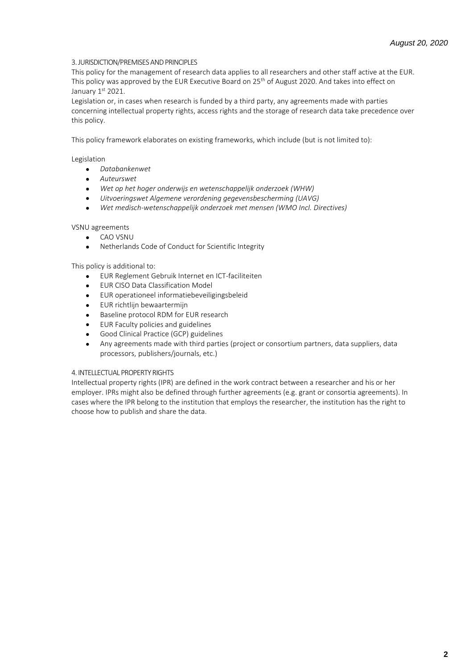## 3. JURISDICTION/PREMISES AND PRINCIPLES

This policy for the management of research data applies to all researchers and other staff active at the EUR. This policy was approved by the EUR Executive Board on 25<sup>th</sup> of August 2020. And takes into effect on January 1st 2021.

Legislation or, in cases when research is funded by a third party, any agreements made with parties concerning intellectual property rights, access rights and the storage of research data take precedence over this policy.

This policy framework elaborates on existing frameworks, which include (but is not limited to):

### Legislation

- *Databankenwet*
- *Auteurswet*
- *Wet op het hoger onderwijs en wetenschappelijk onderzoek (WHW)*
- *Uitvoeringswet Algemene verordening gegevensbescherming (UAVG)*
- *Wet medisch-wetenschappelijk onderzoek met mensen (WMO Incl. Directives)*

### VSNU agreements

- CAO VSNU
- Netherlands Code of Conduct for Scientific Integrity

### This policy is additional to:

- EUR Reglement Gebruik Internet en ICT-faciliteiten
- EUR CISO Data Classification Model
- EUR operationeel informatiebeveiligingsbeleid
- EUR richtlijn bewaartermijn
- Baseline protocol RDM for EUR research
- EUR Faculty policies and guidelines
- Good Clinical Practice (GCP) guidelines
- Any agreements made with third parties (project or consortium partners, data suppliers, data processors, publishers/journals, etc.)

### 4. INTELLECTUAL PROPERTY RIGHTS

Intellectual property rights (IPR) are defined in the work contract between a researcher and his or her employer. IPRs might also be defined through further agreements (e.g. grant or consortia agreements). In cases where the IPR belong to the institution that employs the researcher, the institution has the right to choose how to publish and share the data.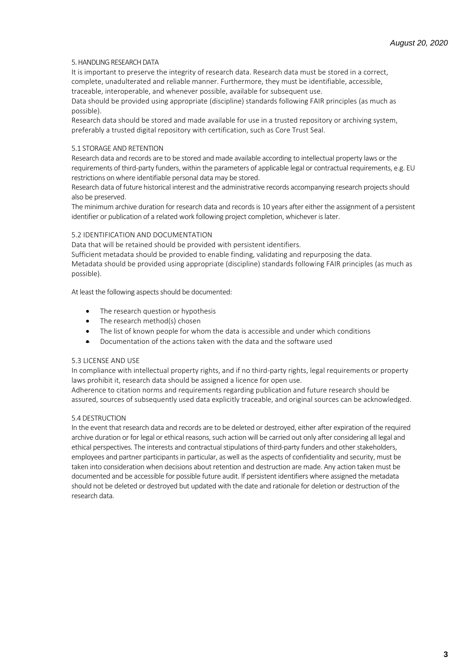## 5. HANDLING RESEARCH DATA

It is important to preserve the integrity of research data. Research data must be stored in a correct, complete, unadulterated and reliable manner. Furthermore, they must be identifiable, accessible,

traceable, interoperable, and whenever possible, available for subsequent use. Data should be provided using appropriate (discipline) standards following FAIR principles (as much as

possible).

Research data should be stored and made available for use in a trusted repository or archiving system, preferably a trusted digital repository with certification, such as Core Trust Seal.

# 5.1 STORAGE AND RETENTION

Research data and records are to be stored and made available according to intellectual property laws or the requirements of third-party funders, within the parameters of applicable legal or contractual requirements, e.g. EU restrictions on where identifiable personal data may be stored.

Research data of future historical interest and the administrative records accompanying research projects should also be preserved.

The minimum archive duration for research data and records is 10 years after either the assignment of a persistent identifier or publication of a related work following project completion, whichever is later.

# 5.2 IDENTIFICATION AND DOCUMENTATION

Data that will be retained should be provided with persistent identifiers.

Sufficient metadata should be provided to enable finding, validating and repurposing the data. Metadata should be provided using appropriate (discipline) standards following FAIR principles (as much as possible).

At least the following aspects should be documented:

- The research question or hypothesis
- The research method(s) chosen
- The list of known people for whom the data is accessible and under which conditions
- Documentation of the actions taken with the data and the software used

## 5.3 LICENSE AND USE

In compliance with intellectual property rights, and if no third-party rights, legal requirements or property laws prohibit it, research data should be assigned a licence for open use.

Adherence to citation norms and requirements regarding publication and future research should be assured, sources of subsequently used data explicitly traceable, and original sources can be acknowledged.

## 5.4 DESTRUCTION

In the event that research data and records are to be deleted or destroyed, either after expiration of the required archive duration or for legal or ethical reasons, such action will be carried out only after considering all legal and ethical perspectives. The interests and contractual stipulations of third-party funders and other stakeholders, employees and partner participants in particular, as well as the aspects of confidentiality and security, must be taken into consideration when decisions about retention and destruction are made. Any action taken must be documented and be accessible for possible future audit. If persistent identifiers where assigned the metadata should not be deleted or destroyed but updated with the date and rationale for deletion or destruction of the research data.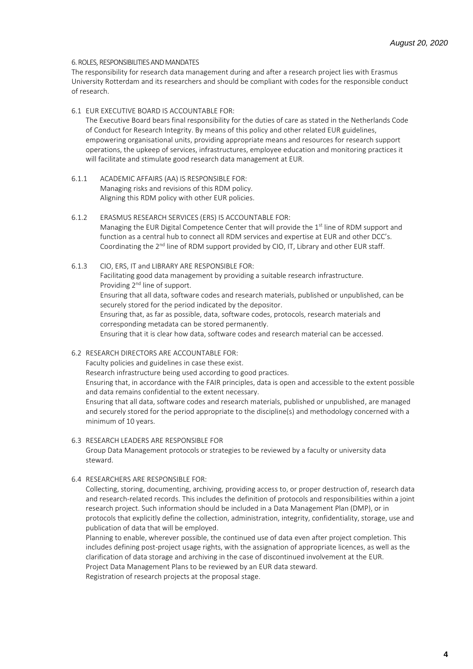### 6. ROLES, RESPONSIBILITIES AND MANDATES

The responsibility for research data management during and after a research project lies with Erasmus University Rotterdam and its researchers and should be compliant with codes for the responsible conduct of research.

#### 6.1 EUR EXECUTIVE BOARD IS ACCOUNTABLE FOR:

The Executive Board bears final responsibility for the duties of care as stated in the Netherlands Code of Conduct for Research Integrity. By means of this policy and other related EUR guidelines, empowering organisational units, providing appropriate means and resources for research support operations, the upkeep of services, infrastructures, employee education and monitoring practices it will facilitate and stimulate good research data management at EUR.

- 6.1.1 ACADEMIC AFFAIRS (AA) IS RESPONSIBLE FOR: Managing risks and revisions of this RDM policy. Aligning this RDM policy with other EUR policies.
- 6.1.2 ERASMUS RESEARCH SERVICES (ERS) IS ACCOUNTABLE FOR: Managing the EUR Digital Competence Center that will provide the 1<sup>st</sup> line of RDM support and function as a central hub to connect all RDM services and expertise at EUR and other DCC's. Coordinating the  $2<sup>nd</sup>$  line of RDM support provided by CIO, IT, Library and other EUR staff.
- 6.1.3 CIO, ERS, IT and LIBRARY ARE RESPONSIBLE FOR: Facilitating good data management by providing a suitable research infrastructure. Providing 2<sup>nd</sup> line of support. Ensuring that all data, software codes and research materials, published or unpublished, can be securely stored for the period indicated by the depositor. Ensuring that, as far as possible, data, software codes, protocols, research materials and corresponding metadata can be stored permanently. Ensuring that it is clear how data, software codes and research material can be accessed.
- 6.2 RESEARCH DIRECTORS ARE ACCOUNTABLE FOR: Faculty policies and guidelines in case these exist. Research infrastructure being used according to good practices. Ensuring that, in accordance with the FAIR principles, data is open and accessible to the extent possible and data remains confidential to the extent necessary. Ensuring that all data, software codes and research materials, published or unpublished, are managed and securely stored for the period appropriate to the discipline(s) and methodology concerned with a minimum of 10 years.
- 6.3 RESEARCH LEADERS ARE RESPONSIBLE FOR Group Data Management protocols or strategies to be reviewed by a faculty or university data steward.
- 6.4 RESEARCHERS ARE RESPONSIBLE FOR:

Collecting, storing, documenting, archiving, providing access to, or proper destruction of, research data and research-related records. This includes the definition of protocols and responsibilities within a joint research project. Such information should be included in a Data Management Plan (DMP), or in protocols that explicitly define the collection, administration, integrity, confidentiality, storage, use and publication of data that will be employed.

Planning to enable, wherever possible, the continued use of data even after project completion. This includes defining post-project usage rights, with the assignation of appropriate licences, as well as the clarification of data storage and archiving in the case of discontinued involvement at the EUR. Project Data Management Plans to be reviewed by an EUR data steward.

Registration of research projects at the proposal stage.